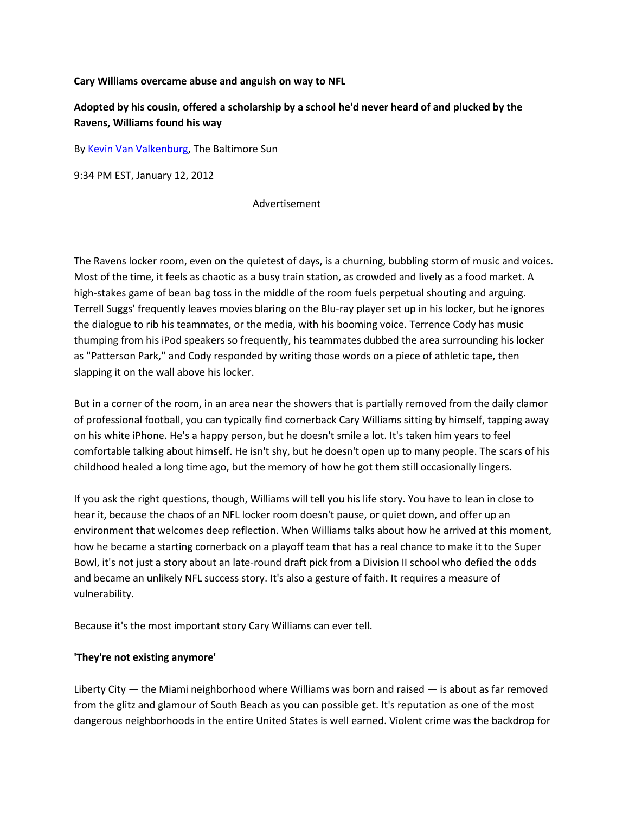**Cary Williams overcame abuse and anguish on way to NFL**

# **Adopted by his cousin, offered a scholarship by a school he'd never heard of and plucked by the Ravens, Williams found his way**

B[y Kevin Van Valkenburg,](http://bio.tribune.com/KevinVanValkenburg) The Baltimore Sun

9:34 PM EST, January 12, 2012

#### Advertisement

The Ravens locker room, even on the quietest of days, is a churning, bubbling storm of music and voices. Most of the time, it feels as chaotic as a busy train station, as crowded and lively as a food market. A high-stakes game of bean bag toss in the middle of the room fuels perpetual shouting and arguing. Terrell Suggs' frequently leaves movies blaring on the Blu-ray player set up in his locker, but he ignores the dialogue to rib his teammates, or the media, with his booming voice. Terrence Cody has music thumping from his iPod speakers so frequently, his teammates dubbed the area surrounding his locker as "Patterson Park," and Cody responded by writing those words on a piece of athletic tape, then slapping it on the wall above his locker.

But in a corner of the room, in an area near the showers that is partially removed from the daily clamor of professional football, you can typically find cornerback Cary Williams sitting by himself, tapping away on his white iPhone. He's a happy person, but he doesn't smile a lot. It's taken him years to feel comfortable talking about himself. He isn't shy, but he doesn't open up to many people. The scars of his childhood healed a long time ago, but the memory of how he got them still occasionally lingers.

If you ask the right questions, though, Williams will tell you his life story. You have to lean in close to hear it, because the chaos of an NFL locker room doesn't pause, or quiet down, and offer up an environment that welcomes deep reflection. When Williams talks about how he arrived at this moment, how he became a starting cornerback on a playoff team that has a real chance to make it to the Super Bowl, it's not just a story about an late-round draft pick from a Division II school who defied the odds and became an unlikely NFL success story. It's also a gesture of faith. It requires a measure of vulnerability.

Because it's the most important story Cary Williams can ever tell.

### **'They're not existing anymore'**

Liberty City — the Miami neighborhood where Williams was born and raised — is about as far removed from the glitz and glamour of South Beach as you can possible get. It's reputation as one of the most dangerous neighborhoods in the entire United States is well earned. Violent crime was the backdrop for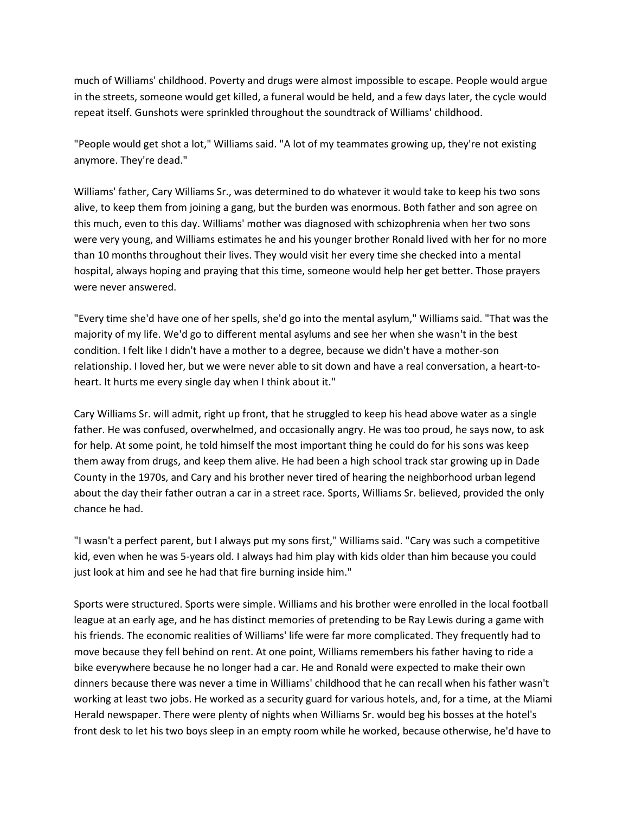much of Williams' childhood. Poverty and drugs were almost impossible to escape. People would argue in the streets, someone would get killed, a funeral would be held, and a few days later, the cycle would repeat itself. Gunshots were sprinkled throughout the soundtrack of Williams' childhood.

"People would get shot a lot," Williams said. "A lot of my teammates growing up, they're not existing anymore. They're dead."

Williams' father, Cary Williams Sr., was determined to do whatever it would take to keep his two sons alive, to keep them from joining a gang, but the burden was enormous. Both father and son agree on this much, even to this day. Williams' mother was diagnosed with schizophrenia when her two sons were very young, and Williams estimates he and his younger brother Ronald lived with her for no more than 10 months throughout their lives. They would visit her every time she checked into a mental hospital, always hoping and praying that this time, someone would help her get better. Those prayers were never answered.

"Every time she'd have one of her spells, she'd go into the mental asylum," Williams said. "That was the majority of my life. We'd go to different mental asylums and see her when she wasn't in the best condition. I felt like I didn't have a mother to a degree, because we didn't have a mother-son relationship. I loved her, but we were never able to sit down and have a real conversation, a heart-toheart. It hurts me every single day when I think about it."

Cary Williams Sr. will admit, right up front, that he struggled to keep his head above water as a single father. He was confused, overwhelmed, and occasionally angry. He was too proud, he says now, to ask for help. At some point, he told himself the most important thing he could do for his sons was keep them away from drugs, and keep them alive. He had been a high school track star growing up in Dade County in the 1970s, and Cary and his brother never tired of hearing the neighborhood urban legend about the day their father outran a car in a street race. Sports, Williams Sr. believed, provided the only chance he had.

"I wasn't a perfect parent, but I always put my sons first," Williams said. "Cary was such a competitive kid, even when he was 5-years old. I always had him play with kids older than him because you could just look at him and see he had that fire burning inside him."

Sports were structured. Sports were simple. Williams and his brother were enrolled in the local football league at an early age, and he has distinct memories of pretending to be Ray Lewis during a game with his friends. The economic realities of Williams' life were far more complicated. They frequently had to move because they fell behind on rent. At one point, Williams remembers his father having to ride a bike everywhere because he no longer had a car. He and Ronald were expected to make their own dinners because there was never a time in Williams' childhood that he can recall when his father wasn't working at least two jobs. He worked as a security guard for various hotels, and, for a time, at the Miami Herald newspaper. There were plenty of nights when Williams Sr. would beg his bosses at the hotel's front desk to let his two boys sleep in an empty room while he worked, because otherwise, he'd have to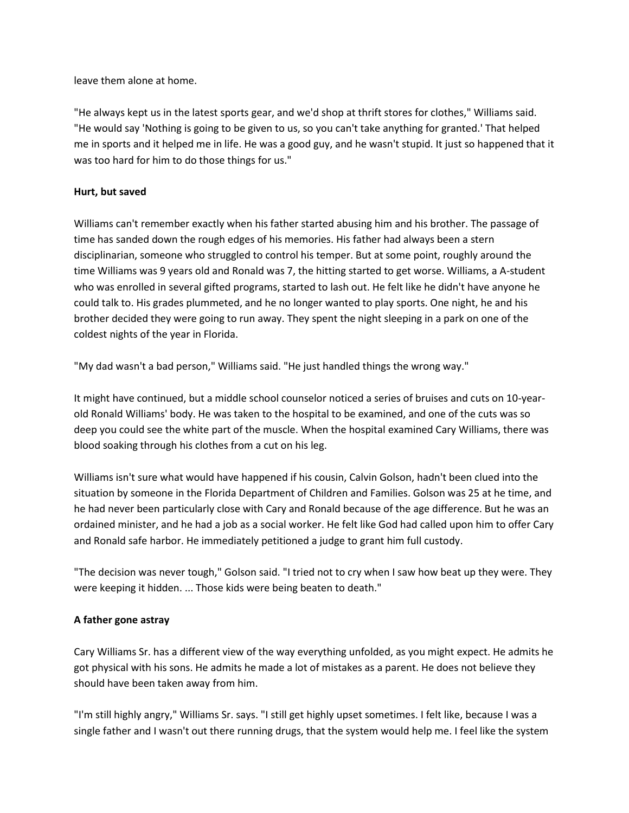leave them alone at home.

"He always kept us in the latest sports gear, and we'd shop at thrift stores for clothes," Williams said. "He would say 'Nothing is going to be given to us, so you can't take anything for granted.' That helped me in sports and it helped me in life. He was a good guy, and he wasn't stupid. It just so happened that it was too hard for him to do those things for us."

### **Hurt, but saved**

Williams can't remember exactly when his father started abusing him and his brother. The passage of time has sanded down the rough edges of his memories. His father had always been a stern disciplinarian, someone who struggled to control his temper. But at some point, roughly around the time Williams was 9 years old and Ronald was 7, the hitting started to get worse. Williams, a A-student who was enrolled in several gifted programs, started to lash out. He felt like he didn't have anyone he could talk to. His grades plummeted, and he no longer wanted to play sports. One night, he and his brother decided they were going to run away. They spent the night sleeping in a park on one of the coldest nights of the year in Florida.

"My dad wasn't a bad person," Williams said. "He just handled things the wrong way."

It might have continued, but a middle school counselor noticed a series of bruises and cuts on 10-yearold Ronald Williams' body. He was taken to the hospital to be examined, and one of the cuts was so deep you could see the white part of the muscle. When the hospital examined Cary Williams, there was blood soaking through his clothes from a cut on his leg.

Williams isn't sure what would have happened if his cousin, Calvin Golson, hadn't been clued into the situation by someone in the Florida Department of Children and Families. Golson was 25 at he time, and he had never been particularly close with Cary and Ronald because of the age difference. But he was an ordained minister, and he had a job as a social worker. He felt like God had called upon him to offer Cary and Ronald safe harbor. He immediately petitioned a judge to grant him full custody.

"The decision was never tough," Golson said. "I tried not to cry when I saw how beat up they were. They were keeping it hidden. ... Those kids were being beaten to death."

### **A father gone astray**

Cary Williams Sr. has a different view of the way everything unfolded, as you might expect. He admits he got physical with his sons. He admits he made a lot of mistakes as a parent. He does not believe they should have been taken away from him.

"I'm still highly angry," Williams Sr. says. "I still get highly upset sometimes. I felt like, because I was a single father and I wasn't out there running drugs, that the system would help me. I feel like the system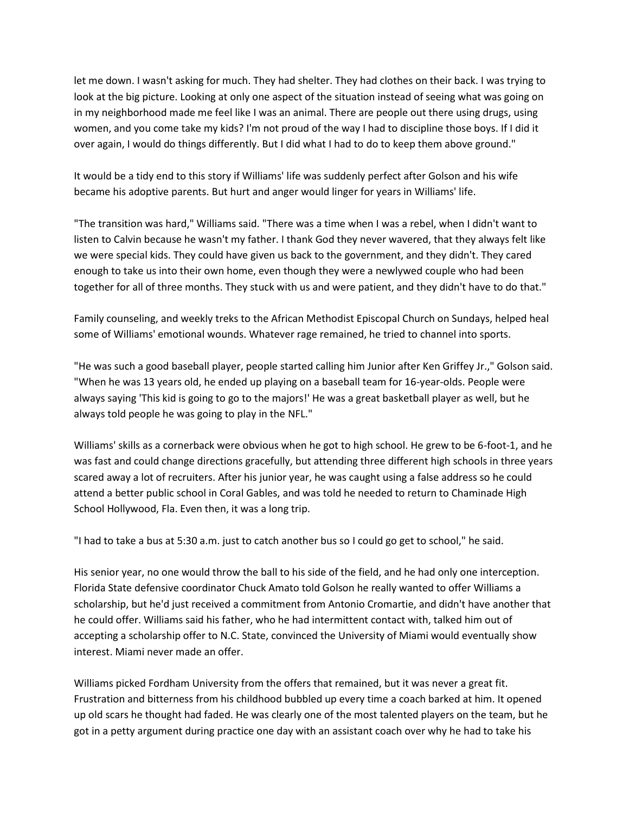let me down. I wasn't asking for much. They had shelter. They had clothes on their back. I was trying to look at the big picture. Looking at only one aspect of the situation instead of seeing what was going on in my neighborhood made me feel like I was an animal. There are people out there using drugs, using women, and you come take my kids? I'm not proud of the way I had to discipline those boys. If I did it over again, I would do things differently. But I did what I had to do to keep them above ground."

It would be a tidy end to this story if Williams' life was suddenly perfect after Golson and his wife became his adoptive parents. But hurt and anger would linger for years in Williams' life.

"The transition was hard," Williams said. "There was a time when I was a rebel, when I didn't want to listen to Calvin because he wasn't my father. I thank God they never wavered, that they always felt like we were special kids. They could have given us back to the government, and they didn't. They cared enough to take us into their own home, even though they were a newlywed couple who had been together for all of three months. They stuck with us and were patient, and they didn't have to do that."

Family counseling, and weekly treks to the African Methodist Episcopal Church on Sundays, helped heal some of Williams' emotional wounds. Whatever rage remained, he tried to channel into sports.

"He was such a good baseball player, people started calling him Junior after Ken Griffey Jr.," Golson said. "When he was 13 years old, he ended up playing on a baseball team for 16-year-olds. People were always saying 'This kid is going to go to the majors!' He was a great basketball player as well, but he always told people he was going to play in the NFL."

Williams' skills as a cornerback were obvious when he got to high school. He grew to be 6-foot-1, and he was fast and could change directions gracefully, but attending three different high schools in three years scared away a lot of recruiters. After his junior year, he was caught using a false address so he could attend a better public school in Coral Gables, and was told he needed to return to Chaminade High School Hollywood, Fla. Even then, it was a long trip.

"I had to take a bus at 5:30 a.m. just to catch another bus so I could go get to school," he said.

His senior year, no one would throw the ball to his side of the field, and he had only one interception. Florida State defensive coordinator Chuck Amato told Golson he really wanted to offer Williams a scholarship, but he'd just received a commitment from Antonio Cromartie, and didn't have another that he could offer. Williams said his father, who he had intermittent contact with, talked him out of accepting a scholarship offer to N.C. State, convinced the University of Miami would eventually show interest. Miami never made an offer.

Williams picked Fordham University from the offers that remained, but it was never a great fit. Frustration and bitterness from his childhood bubbled up every time a coach barked at him. It opened up old scars he thought had faded. He was clearly one of the most talented players on the team, but he got in a petty argument during practice one day with an assistant coach over why he had to take his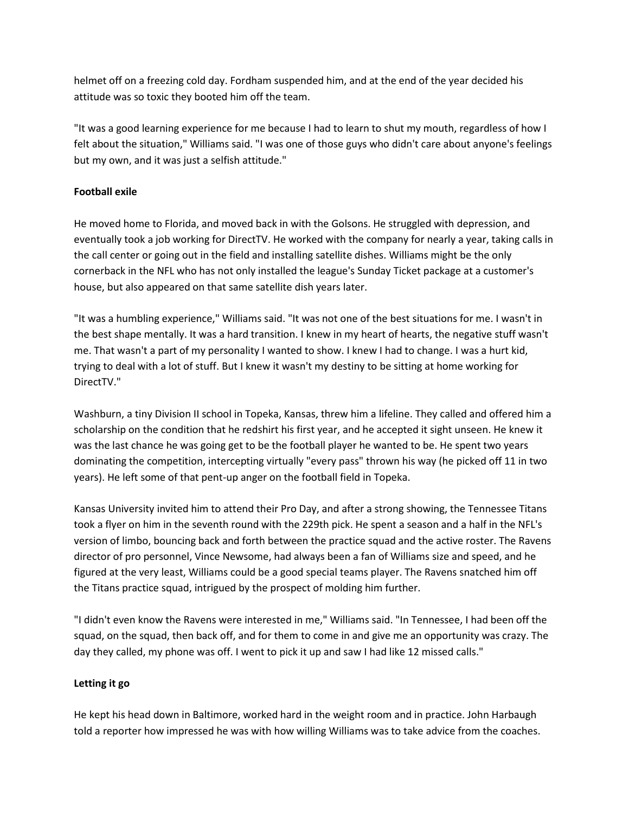helmet off on a freezing cold day. Fordham suspended him, and at the end of the year decided his attitude was so toxic they booted him off the team.

"It was a good learning experience for me because I had to learn to shut my mouth, regardless of how I felt about the situation," Williams said. "I was one of those guys who didn't care about anyone's feelings but my own, and it was just a selfish attitude."

### **Football exile**

He moved home to Florida, and moved back in with the Golsons. He struggled with depression, and eventually took a job working for DirectTV. He worked with the company for nearly a year, taking calls in the call center or going out in the field and installing satellite dishes. Williams might be the only cornerback in the NFL who has not only installed the league's Sunday Ticket package at a customer's house, but also appeared on that same satellite dish years later.

"It was a humbling experience," Williams said. "It was not one of the best situations for me. I wasn't in the best shape mentally. It was a hard transition. I knew in my heart of hearts, the negative stuff wasn't me. That wasn't a part of my personality I wanted to show. I knew I had to change. I was a hurt kid, trying to deal with a lot of stuff. But I knew it wasn't my destiny to be sitting at home working for DirectTV."

Washburn, a tiny Division II school in Topeka, Kansas, threw him a lifeline. They called and offered him a scholarship on the condition that he redshirt his first year, and he accepted it sight unseen. He knew it was the last chance he was going get to be the football player he wanted to be. He spent two years dominating the competition, intercepting virtually "every pass" thrown his way (he picked off 11 in two years). He left some of that pent-up anger on the football field in Topeka.

Kansas University invited him to attend their Pro Day, and after a strong showing, the Tennessee Titans took a flyer on him in the seventh round with the 229th pick. He spent a season and a half in the NFL's version of limbo, bouncing back and forth between the practice squad and the active roster. The Ravens director of pro personnel, Vince Newsome, had always been a fan of Williams size and speed, and he figured at the very least, Williams could be a good special teams player. The Ravens snatched him off the Titans practice squad, intrigued by the prospect of molding him further.

"I didn't even know the Ravens were interested in me," Williams said. "In Tennessee, I had been off the squad, on the squad, then back off, and for them to come in and give me an opportunity was crazy. The day they called, my phone was off. I went to pick it up and saw I had like 12 missed calls."

## **Letting it go**

He kept his head down in Baltimore, worked hard in the weight room and in practice. John Harbaugh told a reporter how impressed he was with how willing Williams was to take advice from the coaches.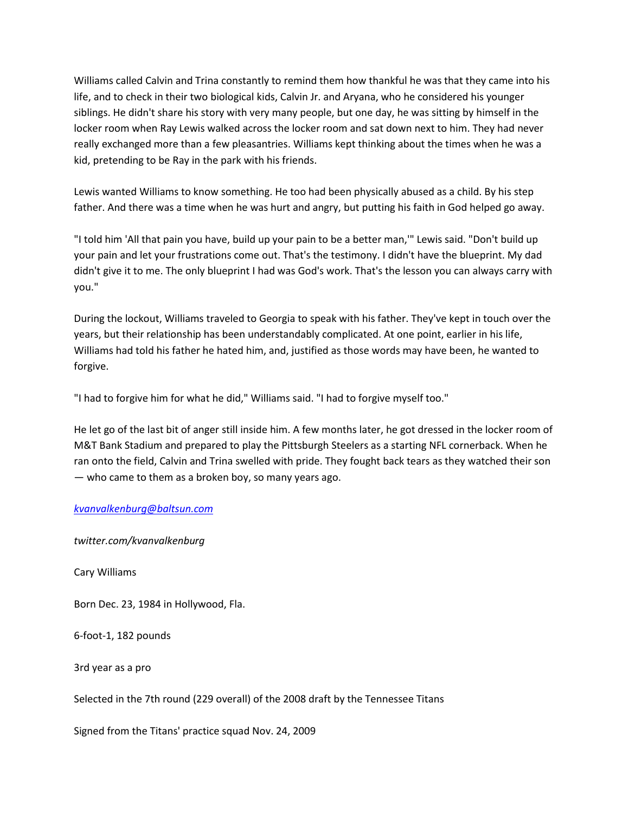Williams called Calvin and Trina constantly to remind them how thankful he was that they came into his life, and to check in their two biological kids, Calvin Jr. and Aryana, who he considered his younger siblings. He didn't share his story with very many people, but one day, he was sitting by himself in the locker room when Ray Lewis walked across the locker room and sat down next to him. They had never really exchanged more than a few pleasantries. Williams kept thinking about the times when he was a kid, pretending to be Ray in the park with his friends.

Lewis wanted Williams to know something. He too had been physically abused as a child. By his step father. And there was a time when he was hurt and angry, but putting his faith in God helped go away.

"I told him 'All that pain you have, build up your pain to be a better man,'" Lewis said. "Don't build up your pain and let your frustrations come out. That's the testimony. I didn't have the blueprint. My dad didn't give it to me. The only blueprint I had was God's work. That's the lesson you can always carry with you."

During the lockout, Williams traveled to Georgia to speak with his father. They've kept in touch over the years, but their relationship has been understandably complicated. At one point, earlier in his life, Williams had told his father he hated him, and, justified as those words may have been, he wanted to forgive.

"I had to forgive him for what he did," Williams said. "I had to forgive myself too."

He let go of the last bit of anger still inside him. A few months later, he got dressed in the locker room of M&T Bank Stadium and prepared to play the Pittsburgh Steelers as a starting NFL cornerback. When he ran onto the field, Calvin and Trina swelled with pride. They fought back tears as they watched their son — who came to them as a broken boy, so many years ago.

### *[kvanvalkenburg@baltsun.com](mailto:kvanvalkenburg@baltsun.com)*

*twitter.com/kvanvalkenburg*

Cary Williams

Born Dec. 23, 1984 in Hollywood, Fla.

6-foot-1, 182 pounds

3rd year as a pro

Selected in the 7th round (229 overall) of the 2008 draft by the Tennessee Titans

Signed from the Titans' practice squad Nov. 24, 2009